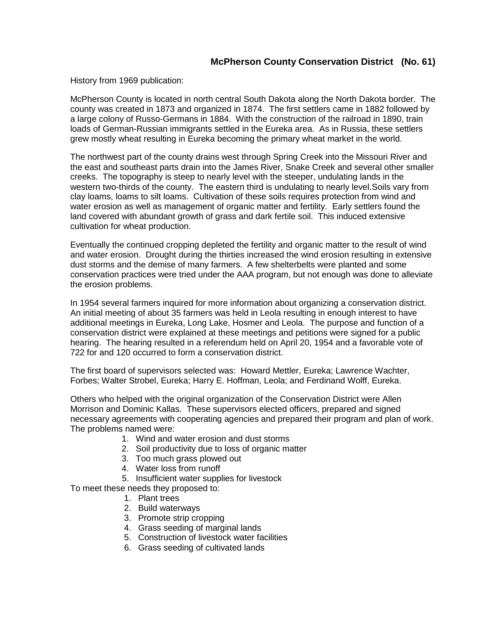## **McPherson County Conservation District (No. 61)**

History from 1969 publication:

McPherson County is located in north central South Dakota along the North Dakota border. The county was created in 1873 and organized in 1874. The first settlers came in 1882 followed by a large colony of Russo-Germans in 1884. With the construction of the railroad in 1890, train loads of German-Russian immigrants settled in the Eureka area. As in Russia, these settlers grew mostly wheat resulting in Eureka becoming the primary wheat market in the world.

The northwest part of the county drains west through Spring Creek into the Missouri River and the east and southeast parts drain into the James River, Snake Creek and several other smaller creeks. The topography is steep to nearly level with the steeper, undulating lands in the western two-thirds of the county. The eastern third is undulating to nearly level.Soils vary from clay loams, loams to silt loams. Cultivation of these soils requires protection from wind and water erosion as well as management of organic matter and fertility. Early settlers found the land covered with abundant growth of grass and dark fertile soil. This induced extensive cultivation for wheat production.

Eventually the continued cropping depleted the fertility and organic matter to the result of wind and water erosion. Drought during the thirties increased the wind erosion resulting in extensive dust storms and the demise of many farmers. A few shelterbelts were planted and some conservation practices were tried under the AAA program, but not enough was done to alleviate the erosion problems.

In 1954 several farmers inquired for more information about organizing a conservation district. An initial meeting of about 35 farmers was held in Leola resulting in enough interest to have additional meetings in Eureka, Long Lake, Hosmer and Leola. The purpose and function of a conservation district were explained at these meetings and petitions were signed for a public hearing. The hearing resulted in a referendum held on April 20, 1954 and a favorable vote of 722 for and 120 occurred to form a conservation district.

The first board of supervisors selected was: Howard Mettler, Eureka; Lawrence Wachter, Forbes; Walter Strobel, Eureka; Harry E. Hoffman, Leola; and Ferdinand Wolff, Eureka.

Others who helped with the original organization of the Conservation District were Allen Morrison and Dominic Kallas. These supervisors elected officers, prepared and signed necessary agreements with cooperating agencies and prepared their program and plan of work. The problems named were:

- 1. Wind and water erosion and dust storms
- 2. Soil productivity due to loss of organic matter
- 3. Too much grass plowed out
- 4. Water loss from runoff

5. Insufficient water supplies for livestock

To meet these needs they proposed to:

- 1. Plant trees
- 2. Build waterways
- 3. Promote strip cropping
- 4. Grass seeding of marginal lands
- 5. Construction of livestock water facilities
- 6. Grass seeding of cultivated lands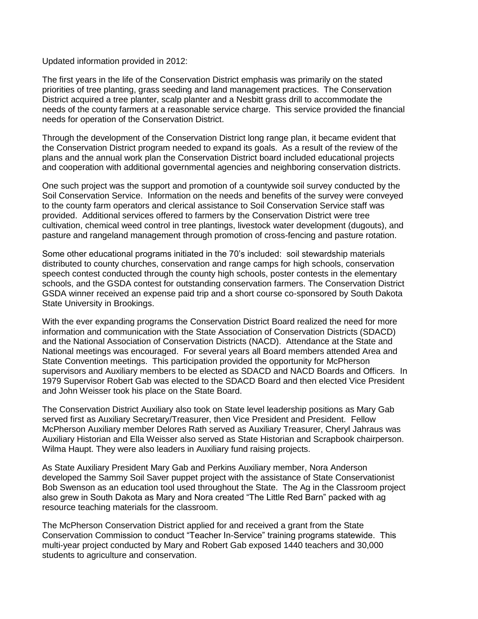Updated information provided in 2012:

The first years in the life of the Conservation District emphasis was primarily on the stated priorities of tree planting, grass seeding and land management practices. The Conservation District acquired a tree planter, scalp planter and a Nesbitt grass drill to accommodate the needs of the county farmers at a reasonable service charge. This service provided the financial needs for operation of the Conservation District.

Through the development of the Conservation District long range plan, it became evident that the Conservation District program needed to expand its goals. As a result of the review of the plans and the annual work plan the Conservation District board included educational projects and cooperation with additional governmental agencies and neighboring conservation districts.

One such project was the support and promotion of a countywide soil survey conducted by the Soil Conservation Service. Information on the needs and benefits of the survey were conveyed to the county farm operators and clerical assistance to Soil Conservation Service staff was provided. Additional services offered to farmers by the Conservation District were tree cultivation, chemical weed control in tree plantings, livestock water development (dugouts), and pasture and rangeland management through promotion of cross-fencing and pasture rotation.

Some other educational programs initiated in the 70's included: soil stewardship materials distributed to county churches, conservation and range camps for high schools, conservation speech contest conducted through the county high schools, poster contests in the elementary schools, and the GSDA contest for outstanding conservation farmers. The Conservation District GSDA winner received an expense paid trip and a short course co-sponsored by South Dakota State University in Brookings.

With the ever expanding programs the Conservation District Board realized the need for more information and communication with the State Association of Conservation Districts (SDACD) and the National Association of Conservation Districts (NACD). Attendance at the State and National meetings was encouraged. For several years all Board members attended Area and State Convention meetings. This participation provided the opportunity for McPherson supervisors and Auxiliary members to be elected as SDACD and NACD Boards and Officers. In 1979 Supervisor Robert Gab was elected to the SDACD Board and then elected Vice President and John Weisser took his place on the State Board.

The Conservation District Auxiliary also took on State level leadership positions as Mary Gab served first as Auxiliary Secretary/Treasurer, then Vice President and President. Fellow McPherson Auxiliary member Delores Rath served as Auxiliary Treasurer, Cheryl Jahraus was Auxiliary Historian and Ella Weisser also served as State Historian and Scrapbook chairperson. Wilma Haupt. They were also leaders in Auxiliary fund raising projects.

As State Auxiliary President Mary Gab and Perkins Auxiliary member, Nora Anderson developed the Sammy Soil Saver puppet project with the assistance of State Conservationist Bob Swenson as an education tool used throughout the State. The Ag in the Classroom project also grew in South Dakota as Mary and Nora created "The Little Red Barn" packed with ag resource teaching materials for the classroom.

The McPherson Conservation District applied for and received a grant from the State Conservation Commission to conduct "Teacher In-Service" training programs statewide. This multi-year project conducted by Mary and Robert Gab exposed 1440 teachers and 30,000 students to agriculture and conservation.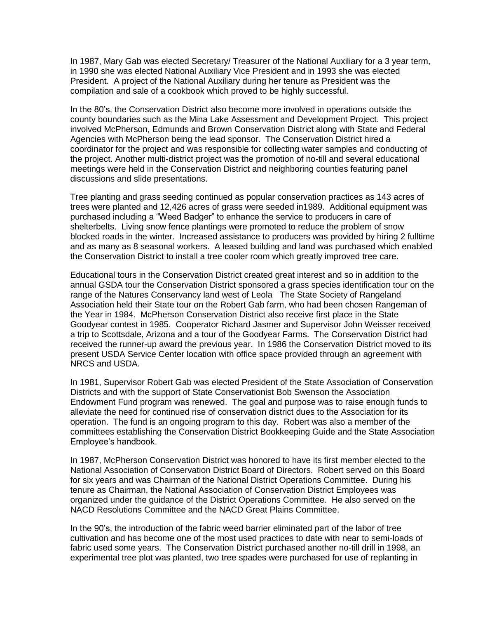In 1987, Mary Gab was elected Secretary/ Treasurer of the National Auxiliary for a 3 year term, in 1990 she was elected National Auxiliary Vice President and in 1993 she was elected President. A project of the National Auxiliary during her tenure as President was the compilation and sale of a cookbook which proved to be highly successful.

In the 80's, the Conservation District also become more involved in operations outside the county boundaries such as the Mina Lake Assessment and Development Project. This project involved McPherson, Edmunds and Brown Conservation District along with State and Federal Agencies with McPherson being the lead sponsor. The Conservation District hired a coordinator for the project and was responsible for collecting water samples and conducting of the project. Another multi-district project was the promotion of no-till and several educational meetings were held in the Conservation District and neighboring counties featuring panel discussions and slide presentations.

Tree planting and grass seeding continued as popular conservation practices as 143 acres of trees were planted and 12,426 acres of grass were seeded in1989. Additional equipment was purchased including a "Weed Badger" to enhance the service to producers in care of shelterbelts. Living snow fence plantings were promoted to reduce the problem of snow blocked roads in the winter. Increased assistance to producers was provided by hiring 2 fulltime and as many as 8 seasonal workers. A leased building and land was purchased which enabled the Conservation District to install a tree cooler room which greatly improved tree care.

Educational tours in the Conservation District created great interest and so in addition to the annual GSDA tour the Conservation District sponsored a grass species identification tour on the range of the Natures Conservancy land west of Leola The State Society of Rangeland Association held their State tour on the Robert Gab farm, who had been chosen Rangeman of the Year in 1984. McPherson Conservation District also receive first place in the State Goodyear contest in 1985. Cooperator Richard Jasmer and Supervisor John Weisser received a trip to Scottsdale, Arizona and a tour of the Goodyear Farms. The Conservation District had received the runner-up award the previous year. In 1986 the Conservation District moved to its present USDA Service Center location with office space provided through an agreement with NRCS and USDA.

In 1981, Supervisor Robert Gab was elected President of the State Association of Conservation Districts and with the support of State Conservationist Bob Swenson the Association Endowment Fund program was renewed. The goal and purpose was to raise enough funds to alleviate the need for continued rise of conservation district dues to the Association for its operation. The fund is an ongoing program to this day. Robert was also a member of the committees establishing the Conservation District Bookkeeping Guide and the State Association Employee's handbook.

In 1987, McPherson Conservation District was honored to have its first member elected to the National Association of Conservation District Board of Directors. Robert served on this Board for six years and was Chairman of the National District Operations Committee. During his tenure as Chairman, the National Association of Conservation District Employees was organized under the guidance of the District Operations Committee. He also served on the NACD Resolutions Committee and the NACD Great Plains Committee.

In the 90's, the introduction of the fabric weed barrier eliminated part of the labor of tree cultivation and has become one of the most used practices to date with near to semi-loads of fabric used some years. The Conservation District purchased another no-till drill in 1998, an experimental tree plot was planted, two tree spades were purchased for use of replanting in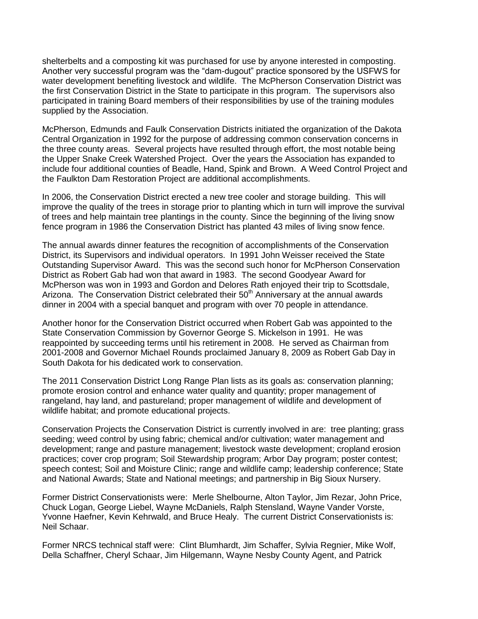shelterbelts and a composting kit was purchased for use by anyone interested in composting. Another very successful program was the "dam-dugout" practice sponsored by the USFWS for water development benefiting livestock and wildlife. The McPherson Conservation District was the first Conservation District in the State to participate in this program. The supervisors also participated in training Board members of their responsibilities by use of the training modules supplied by the Association.

McPherson, Edmunds and Faulk Conservation Districts initiated the organization of the Dakota Central Organization in 1992 for the purpose of addressing common conservation concerns in the three county areas. Several projects have resulted through effort, the most notable being the Upper Snake Creek Watershed Project. Over the years the Association has expanded to include four additional counties of Beadle, Hand, Spink and Brown. A Weed Control Project and the Faulkton Dam Restoration Project are additional accomplishments.

In 2006, the Conservation District erected a new tree cooler and storage building. This will improve the quality of the trees in storage prior to planting which in turn will improve the survival of trees and help maintain tree plantings in the county. Since the beginning of the living snow fence program in 1986 the Conservation District has planted 43 miles of living snow fence.

The annual awards dinner features the recognition of accomplishments of the Conservation District, its Supervisors and individual operators. In 1991 John Weisser received the State Outstanding Supervisor Award. This was the second such honor for McPherson Conservation District as Robert Gab had won that award in 1983. The second Goodyear Award for McPherson was won in 1993 and Gordon and Delores Rath enjoyed their trip to Scottsdale, Arizona. The Conservation District celebrated their 50<sup>th</sup> Anniversary at the annual awards dinner in 2004 with a special banquet and program with over 70 people in attendance.

Another honor for the Conservation District occurred when Robert Gab was appointed to the State Conservation Commission by Governor George S. Mickelson in 1991. He was reappointed by succeeding terms until his retirement in 2008. He served as Chairman from 2001-2008 and Governor Michael Rounds proclaimed January 8, 2009 as Robert Gab Day in South Dakota for his dedicated work to conservation.

The 2011 Conservation District Long Range Plan lists as its goals as: conservation planning; promote erosion control and enhance water quality and quantity; proper management of rangeland, hay land, and pastureland; proper management of wildlife and development of wildlife habitat; and promote educational projects.

Conservation Projects the Conservation District is currently involved in are: tree planting; grass seeding; weed control by using fabric; chemical and/or cultivation; water management and development; range and pasture management; livestock waste development; cropland erosion practices; cover crop program; Soil Stewardship program; Arbor Day program; poster contest; speech contest; Soil and Moisture Clinic; range and wildlife camp; leadership conference; State and National Awards; State and National meetings; and partnership in Big Sioux Nursery.

Former District Conservationists were: Merle Shelbourne, Alton Taylor, Jim Rezar, John Price, Chuck Logan, George Liebel, Wayne McDaniels, Ralph Stensland, Wayne Vander Vorste, Yvonne Haefner, Kevin Kehrwald, and Bruce Healy. The current District Conservationists is: Neil Schaar.

Former NRCS technical staff were: Clint Blumhardt, Jim Schaffer, Sylvia Regnier, Mike Wolf, Della Schaffner, Cheryl Schaar, Jim Hilgemann, Wayne Nesby County Agent, and Patrick